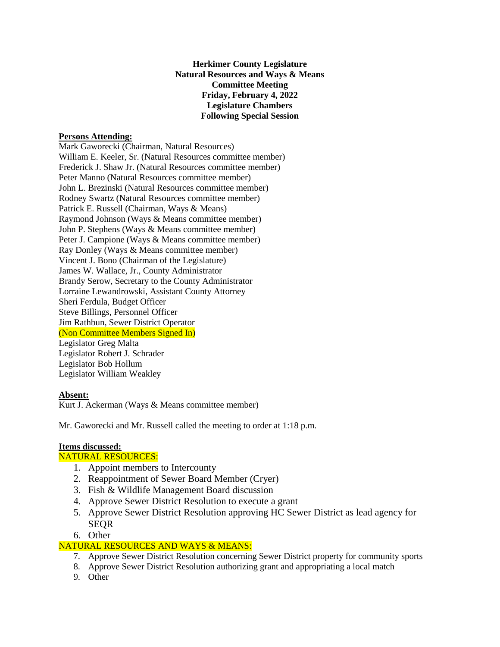**Herkimer County Legislature Natural Resources and Ways & Means Committee Meeting Friday, February 4, 2022 Legislature Chambers Following Special Session**

## **Persons Attending:**

Mark Gaworecki (Chairman, Natural Resources) William E. Keeler, Sr. (Natural Resources committee member) Frederick J. Shaw Jr. (Natural Resources committee member) Peter Manno (Natural Resources committee member) John L. Brezinski (Natural Resources committee member) Rodney Swartz (Natural Resources committee member) Patrick E. Russell (Chairman, Ways & Means) Raymond Johnson (Ways & Means committee member) John P. Stephens (Ways & Means committee member) Peter J. Campione (Ways & Means committee member) Ray Donley (Ways & Means committee member) Vincent J. Bono (Chairman of the Legislature) James W. Wallace, Jr., County Administrator Brandy Serow, Secretary to the County Administrator Lorraine Lewandrowski, Assistant County Attorney Sheri Ferdula, Budget Officer Steve Billings, Personnel Officer Jim Rathbun, Sewer District Operator (Non Committee Members Signed In) Legislator Greg Malta Legislator Robert J. Schrader Legislator Bob Hollum Legislator William Weakley

## **Absent:**

Kurt J. Ackerman (Ways & Means committee member)

Mr. Gaworecki and Mr. Russell called the meeting to order at 1:18 p.m.

# **Items discussed:**

## NATURAL RESOURCES:

- 1. Appoint members to Intercounty
- 2. Reappointment of Sewer Board Member (Cryer)
- 3. Fish & Wildlife Management Board discussion
- 4. Approve Sewer District Resolution to execute a grant
- 5. Approve Sewer District Resolution approving HC Sewer District as lead agency for **SEOR**
- 6. Other

# NATURAL RESOURCES AND WAYS & MEANS:

- 7. Approve Sewer District Resolution concerning Sewer District property for community sports
- 8. Approve Sewer District Resolution authorizing grant and appropriating a local match
- 9. Other